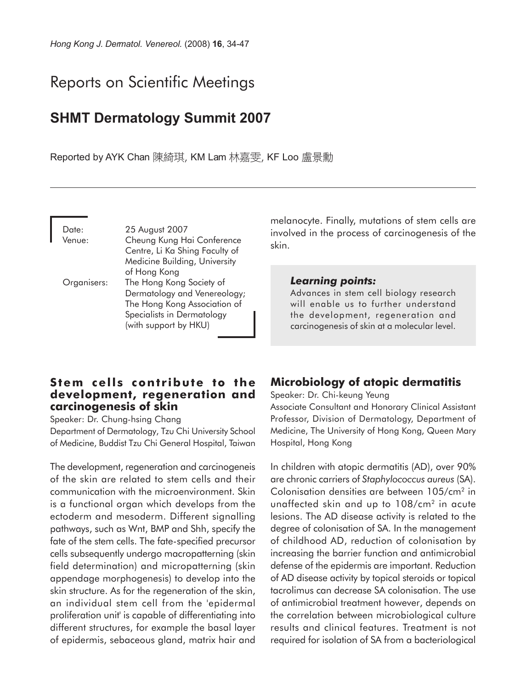# Reports on Scientific Meetings

## **SHMT Dermatology Summit 2007**

Reported by AYK Chan 陳綺琪, KM Lam 林嘉雯, KF Loo 盧景勳

Date: 25 August 2007 Venue: Cheung Kung Hai Conference Centre, Li Ka Shing Faculty of Medicine Building, University of Hong Kong Organisers: The Hong Kong Society of Dermatology and Venereology; The Hong Kong Association of Specialists in Dermatology (with support by HKU)

### **Stem cells contribute to the development, regeneration and carcinogenesis of skin**

Speaker: Dr. Chung-hsing Chang

Department of Dermatology, Tzu Chi University School of Medicine, Buddist Tzu Chi General Hospital, Taiwan

The development, regeneration and carcinogeneis of the skin are related to stem cells and their communication with the microenvironment. Skin is a functional organ which develops from the ectoderm and mesoderm. Different signalling pathways, such as Wnt, BMP and Shh, specify the fate of the stem cells. The fate-specified precursor cells subsequently undergo macropatterning (skin field determination) and micropatterning (skin appendage morphogenesis) to develop into the skin structure. As for the regeneration of the skin, an individual stem cell from the 'epidermal proliferation unit' is capable of differentiating into different structures, for example the basal layer of epidermis, sebaceous gland, matrix hair and

melanocyte. Finally, mutations of stem cells are involved in the process of carcinogenesis of the skin.

#### *Learning points:*

Advances in stem cell biology research will enable us to further understand the development, regeneration and carcinogenesis of skin at a molecular level.

## **Microbiology of atopic dermatitis**

Speaker: Dr. Chi-keung Yeung Associate Consultant and Honorary Clinical Assistant Professor, Division of Dermatology, Department of Medicine, The University of Hong Kong, Queen Mary Hospital, Hong Kong

In children with atopic dermatitis (AD), over 90% are chronic carriers of *Staphylococcus aureus* (SA). Colonisation densities are between 105/cm2 in unaffected skin and up to 108/cm<sup>2</sup> in acute lesions. The AD disease activity is related to the degree of colonisation of SA. In the management of childhood AD, reduction of colonisation by increasing the barrier function and antimicrobial defense of the epidermis are important. Reduction of AD disease activity by topical steroids or topical tacrolimus can decrease SA colonisation. The use of antimicrobial treatment however, depends on the correlation between microbiological culture results and clinical features. Treatment is not required for isolation of SA from a bacteriological